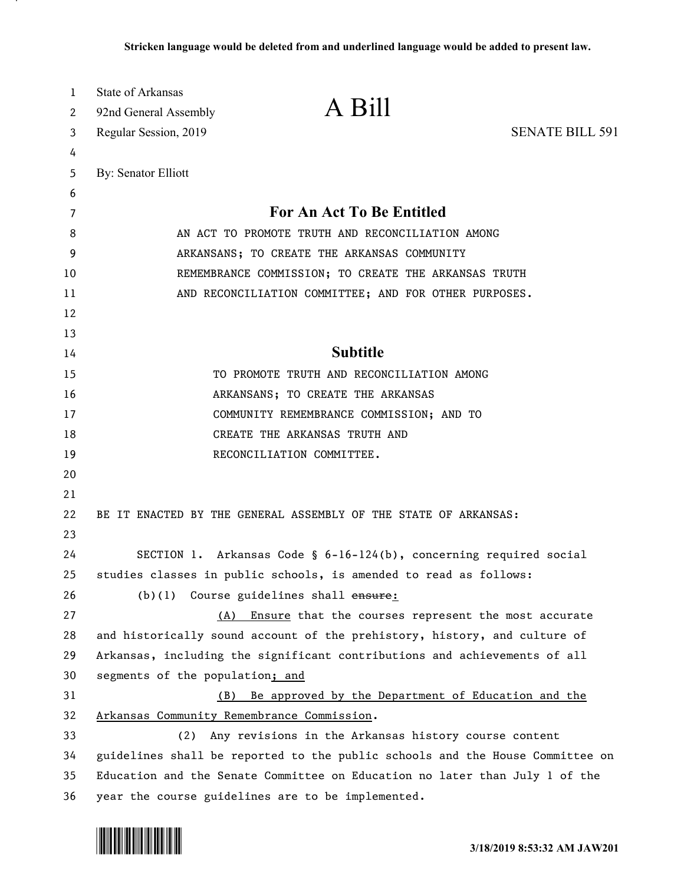| 1<br>2   | <b>State of Arkansas</b><br>92nd General Assembly | A Bill                                                                        |                        |
|----------|---------------------------------------------------|-------------------------------------------------------------------------------|------------------------|
| 3        | Regular Session, 2019                             |                                                                               | <b>SENATE BILL 591</b> |
| 4        |                                                   |                                                                               |                        |
| 5        | By: Senator Elliott                               |                                                                               |                        |
| 6        |                                                   |                                                                               |                        |
| 7        |                                                   | For An Act To Be Entitled                                                     |                        |
| 8        |                                                   | AN ACT TO PROMOTE TRUTH AND RECONCILIATION AMONG                              |                        |
| 9<br>10  |                                                   | ARKANSANS; TO CREATE THE ARKANSAS COMMUNITY                                   |                        |
|          |                                                   | REMEMBRANCE COMMISSION; TO CREATE THE ARKANSAS TRUTH                          |                        |
| 11<br>12 |                                                   | AND RECONCILIATION COMMITTEE; AND FOR OTHER PURPOSES.                         |                        |
| 13       |                                                   |                                                                               |                        |
| 14       |                                                   | <b>Subtitle</b>                                                               |                        |
| 15       |                                                   | TO PROMOTE TRUTH AND RECONCILIATION AMONG                                     |                        |
| 16       |                                                   | ARKANSANS; TO CREATE THE ARKANSAS                                             |                        |
| 17       |                                                   | COMMUNITY REMEMBRANCE COMMISSION; AND TO                                      |                        |
| 18       |                                                   | CREATE THE ARKANSAS TRUTH AND                                                 |                        |
| 19       |                                                   | RECONCILIATION COMMITTEE.                                                     |                        |
| 20       |                                                   |                                                                               |                        |
| 21       |                                                   |                                                                               |                        |
| 22<br>23 |                                                   | BE IT ENACTED BY THE GENERAL ASSEMBLY OF THE STATE OF ARKANSAS:               |                        |
| 24       |                                                   | SECTION 1. Arkansas Code § 6-16-124(b), concerning required social            |                        |
| 25       |                                                   | studies classes in public schools, is amended to read as follows:             |                        |
| 26       |                                                   | (b)(1) Course guidelines shall ensure:                                        |                        |
| 27       | (A)                                               | Ensure that the courses represent the most accurate                           |                        |
| 28       |                                                   | and historically sound account of the prehistory, history, and culture of     |                        |
| 29       |                                                   | Arkansas, including the significant contributions and achievements of all     |                        |
| 30       | segments of the population; and                   |                                                                               |                        |
| 31       | (B)                                               | Be approved by the Department of Education and the                            |                        |
| 32       |                                                   | Arkansas Community Remembrance Commission.                                    |                        |
| 33       | (2)                                               | Any revisions in the Arkansas history course content                          |                        |
| 34       |                                                   | guidelines shall be reported to the public schools and the House Committee on |                        |
| 35       |                                                   | Education and the Senate Committee on Education no later than July 1 of the   |                        |
| 36       |                                                   | year the course guidelines are to be implemented.                             |                        |

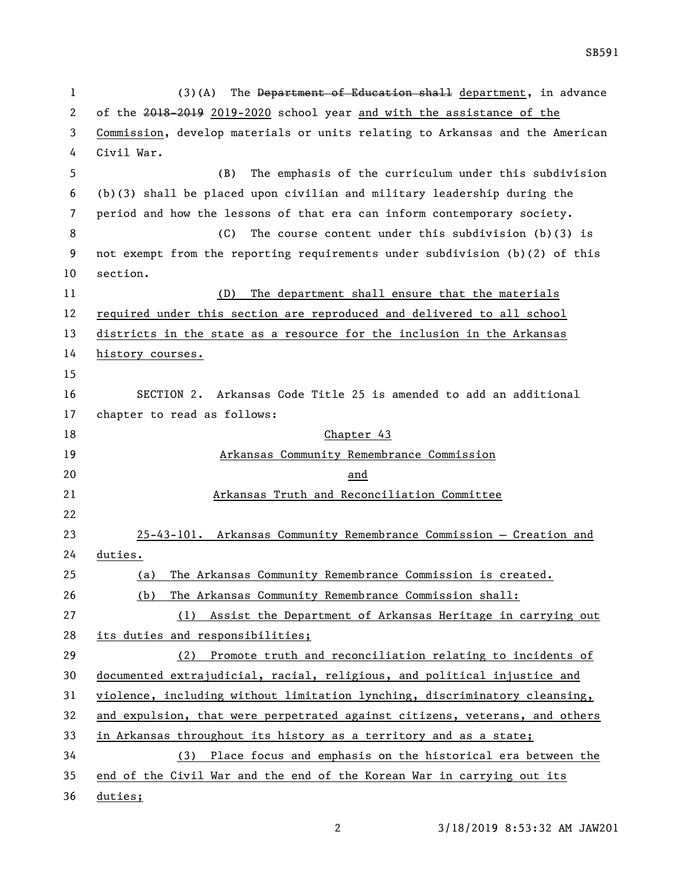1 (3)(A) The Department of Education shall department, in advance of the 2018-2019 2019-2020 school year and with the assistance of the Commission, develop materials or units relating to Arkansas and the American Civil War. (B) The emphasis of the curriculum under this subdivision (b)(3) shall be placed upon civilian and military leadership during the period and how the lessons of that era can inform contemporary society. (C) The course content under this subdivision (b)(3) is not exempt from the reporting requirements under subdivision (b)(2) of this section. (D) The department shall ensure that the materials required under this section are reproduced and delivered to all school districts in the state as a resource for the inclusion in the Arkansas history courses. SECTION 2. Arkansas Code Title 25 is amended to add an additional chapter to read as follows: 18 Chapter 43 Arkansas Community Remembrance Commission and Arkansas Truth and Reconciliation Committee 25-43-101. Arkansas Community Remembrance Commission — Creation and duties. (a) The Arkansas Community Remembrance Commission is created. (b) The Arkansas Community Remembrance Commission shall: (1) Assist the Department of Arkansas Heritage in carrying out its duties and responsibilities; (2) Promote truth and reconciliation relating to incidents of documented extrajudicial, racial, religious, and political injustice and violence, including without limitation lynching, discriminatory cleansing, and expulsion, that were perpetrated against citizens, veterans, and others in Arkansas throughout its history as a territory and as a state; (3) Place focus and emphasis on the historical era between the end of the Civil War and the end of the Korean War in carrying out its

duties;

3/18/2019 8:53:32 AM JAW201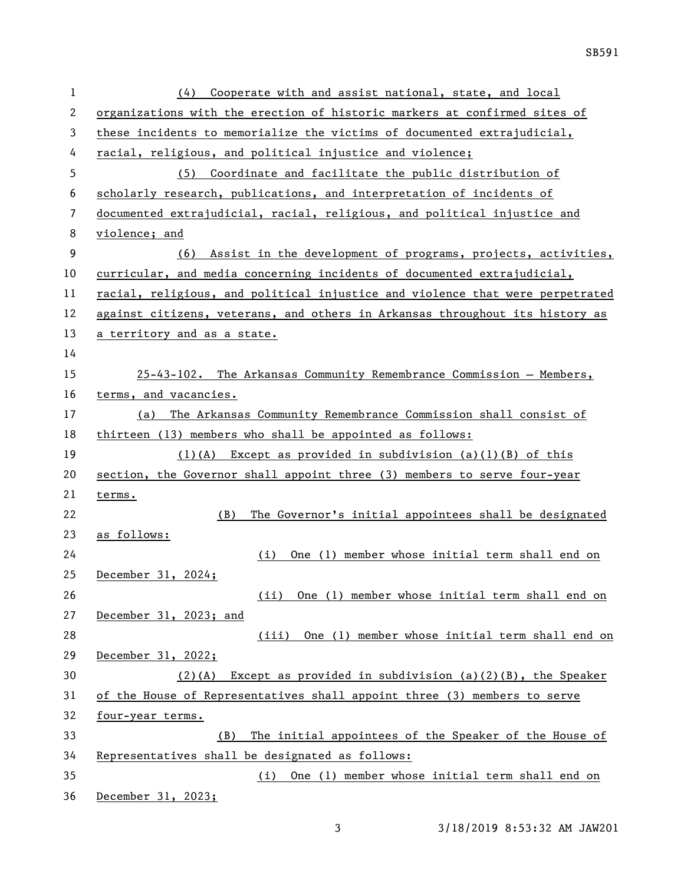| 1  | Cooperate with and assist national, state, and local<br>(4)                   |
|----|-------------------------------------------------------------------------------|
| 2  | organizations with the erection of historic markers at confirmed sites of     |
| 3  | these incidents to memorialize the victims of documented extrajudicial,       |
| 4  | racial, religious, and political injustice and violence;                      |
| 5  | (5) Coordinate and facilitate the public distribution of                      |
| 6  | scholarly research, publications, and interpretation of incidents of          |
| 7  | documented extrajudicial, racial, religious, and political injustice and      |
| 8  | violence; and                                                                 |
| 9  | (6) Assist in the development of programs, projects, activities,              |
| 10 | curricular, and media concerning incidents of documented extrajudicial,       |
| 11 | racial, religious, and political injustice and violence that were perpetrated |
| 12 | against citizens, veterans, and others in Arkansas throughout its history as  |
| 13 | a territory and as a state.                                                   |
| 14 |                                                                               |
| 15 | 25-43-102. The Arkansas Community Remembrance Commission - Members,           |
| 16 | terms, and vacancies.                                                         |
| 17 | The Arkansas Community Remembrance Commission shall consist of<br>(a)         |
| 18 | thirteen (13) members who shall be appointed as follows:                      |
| 19 | $(1)(A)$ Except as provided in subdivision $(a)(1)(B)$ of this                |
| 20 | section, the Governor shall appoint three (3) members to serve four-year      |
| 21 | terms.                                                                        |
| 22 | The Governor's initial appointees shall be designated<br>(B)                  |
| 23 | as follows:                                                                   |
| 24 | One (1) member whose initial term shall end on<br>(i)                         |
| 25 | December 31, 2024;                                                            |
| 26 | One (1) member whose initial term shall end on<br>(ii)                        |
| 27 | December 31, 2023; and                                                        |
| 28 | (iii) One (1) member whose initial term shall end on                          |
| 29 | December 31, 2022;                                                            |
| 30 | Except as provided in subdivision $(a)(2)(B)$ , the Speaker<br>$(2)$ (A)      |
| 31 | of the House of Representatives shall appoint three (3) members to serve      |
| 32 | four-year terms.                                                              |
| 33 | The initial appointees of the Speaker of the House of<br>(B)                  |
| 34 | Representatives shall be designated as follows:                               |
| 35 | (i) One (1) member whose initial term shall end on                            |
| 36 | December 31, 2023;                                                            |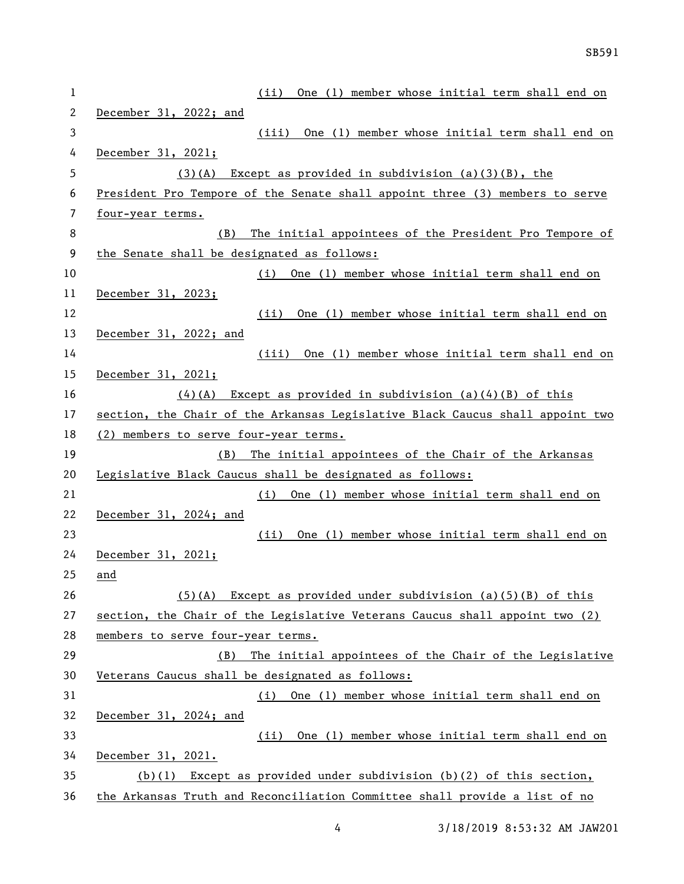| 1  | One (1) member whose initial term shall end on<br>(ii)                        |
|----|-------------------------------------------------------------------------------|
| 2  | December 31, 2022; and                                                        |
| 3  | (iii) One (1) member whose initial term shall end on                          |
| 4  | December 31, 2021;                                                            |
| 5  | $(3)(A)$ Except as provided in subdivision $(a)(3)(B)$ , the                  |
| 6  | President Pro Tempore of the Senate shall appoint three (3) members to serve  |
| 7  | four-year terms.                                                              |
| 8  | The initial appointees of the President Pro Tempore of<br>(B)                 |
| 9  | the Senate shall be designated as follows:                                    |
| 10 | One (1) member whose initial term shall end on<br>(i)                         |
| 11 | December 31, 2023;                                                            |
| 12 | One (1) member whose initial term shall end on<br>(ii)                        |
| 13 | December 31, 2022; and                                                        |
| 14 | (iii) One (1) member whose initial term shall end on                          |
| 15 | December 31, 2021;                                                            |
| 16 | $(4)(A)$ Except as provided in subdivision (a)(4)(B) of this                  |
| 17 | section, the Chair of the Arkansas Legislative Black Caucus shall appoint two |
| 18 | (2) members to serve four-year terms.                                         |
| 19 | The initial appointees of the Chair of the Arkansas<br>(B)                    |
| 20 | Legislative Black Caucus shall be designated as follows:                      |
| 21 | One (1) member whose initial term shall end on<br>(i)                         |
| 22 | December 31, 2024; and                                                        |
| 23 | One (1) member whose initial term shall end on<br>(ii)                        |
| 24 | December 31, 2021;                                                            |
| 25 | and                                                                           |
| 26 | $(5)(A)$ Except as provided under subdivision (a)(5)(B) of this               |
| 27 | section, the Chair of the Legislative Veterans Caucus shall appoint two (2)   |
| 28 | members to serve four-year terms.                                             |
| 29 | The initial appointees of the Chair of the Legislative<br>(B)                 |
| 30 | Veterans Caucus shall be designated as follows:                               |
| 31 | (i) One (1) member whose initial term shall end on                            |
| 32 | December 31, 2024; and                                                        |
| 33 | (ii)<br>One (1) member whose initial term shall end on                        |
| 34 | December 31, 2021.                                                            |
| 35 | Except as provided under subdivision $(b)(2)$ of this section,<br>(b)(1)      |
| 36 | the Arkansas Truth and Reconciliation Committee shall provide a list of no    |

3/18/2019 8:53:32 AM JAW201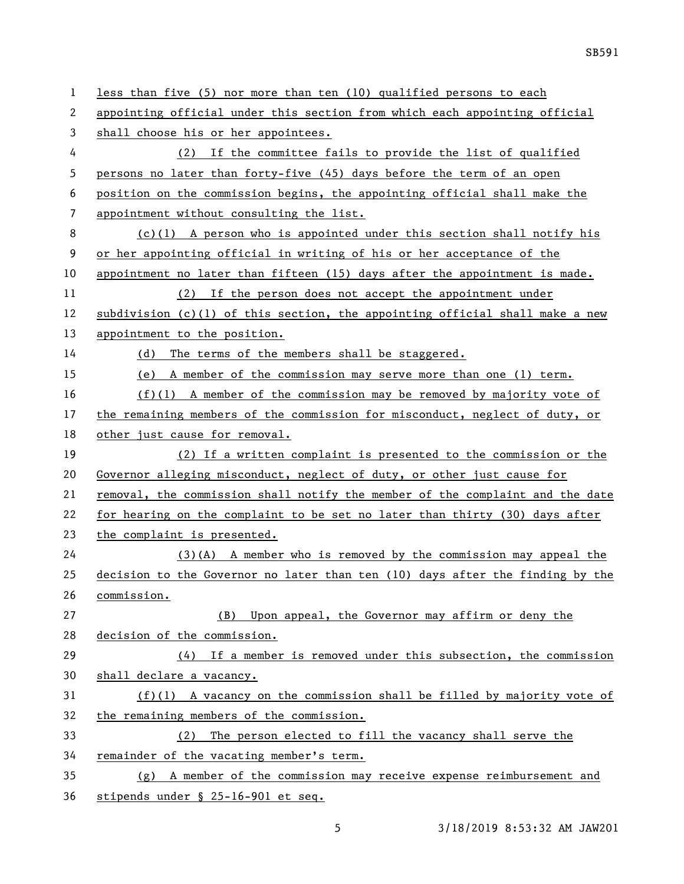| 1  | less than five (5) nor more than ten (10) qualified persons to each           |
|----|-------------------------------------------------------------------------------|
| 2  | appointing official under this section from which each appointing official    |
| 3  | shall choose his or her appointees.                                           |
| 4  | If the committee fails to provide the list of qualified<br>(2)                |
| 5  | persons no later than forty-five (45) days before the term of an open         |
| 6  | position on the commission begins, the appointing official shall make the     |
| 7  | appointment without consulting the list.                                      |
| 8  | $(c)(1)$ A person who is appointed under this section shall notify his        |
| 9  | or her appointing official in writing of his or her acceptance of the         |
| 10 | appointment no later than fifteen (15) days after the appointment is made.    |
| 11 | (2) If the person does not accept the appointment under                       |
| 12 | subdivision (c)(1) of this section, the appointing official shall make a new  |
| 13 | appointment to the position.                                                  |
| 14 | (d) The terms of the members shall be staggered.                              |
| 15 | (e) A member of the commission may serve more than one (1) term.              |
| 16 | $(f)(1)$ A member of the commission may be removed by majority vote of        |
| 17 | the remaining members of the commission for misconduct, neglect of duty, or   |
| 18 | other just cause for removal.                                                 |
| 19 | (2) If a written complaint is presented to the commission or the              |
| 20 | Governor alleging misconduct, neglect of duty, or other just cause for        |
| 21 | removal, the commission shall notify the member of the complaint and the date |
| 22 | for hearing on the complaint to be set no later than thirty (30) days after   |
| 23 | the complaint is presented.                                                   |
| 24 | $(3)(A)$ A member who is removed by the commission may appeal the             |
| 25 | decision to the Governor no later than ten (10) days after the finding by the |
| 26 | commission.                                                                   |
| 27 | Upon appeal, the Governor may affirm or deny the<br>(B)                       |
| 28 | decision of the commission.                                                   |
| 29 | (4) If a member is removed under this subsection, the commission              |
| 30 | shall declare a vacancy.                                                      |
| 31 | $(f)(1)$ A vacancy on the commission shall be filled by majority vote of      |
| 32 | the remaining members of the commission.                                      |
| 33 | The person elected to fill the vacancy shall serve the<br>(2)                 |
| 34 | remainder of the vacating member's term.                                      |
| 35 | $(g)$ A member of the commission may receive expense reimbursement and        |
| 36 | stipends under § 25-16-901 et seq.                                            |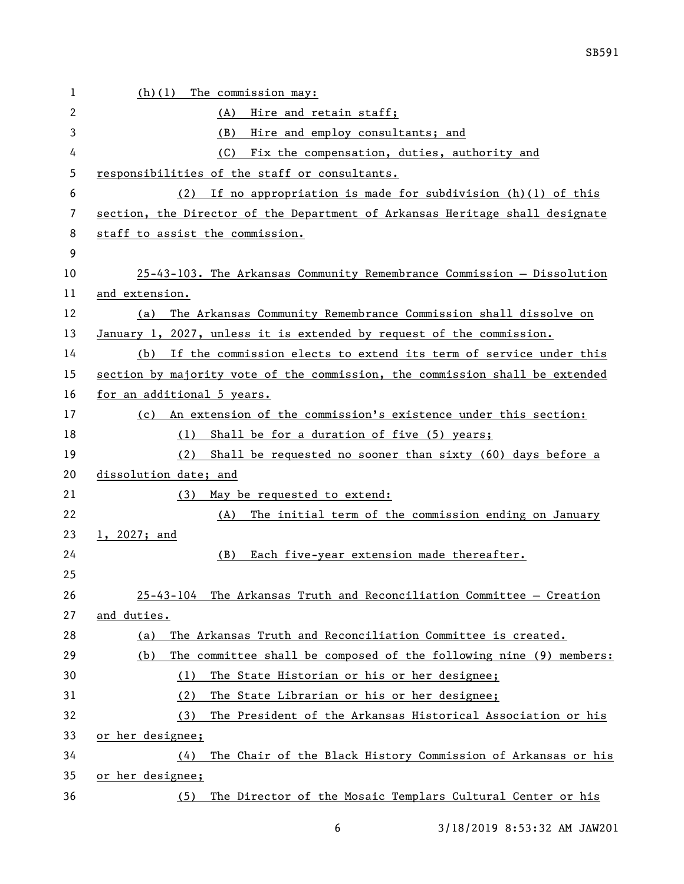| 1  | The commission may:<br>(h)(1)                                                |
|----|------------------------------------------------------------------------------|
| 2  | (A)<br>Hire and retain staff;                                                |
| 3  | Hire and employ consultants; and<br>(B)                                      |
| 4  | (C)<br>Fix the compensation, duties, authority and                           |
| 5  | responsibilities of the staff or consultants.                                |
| 6  | If no appropriation is made for subdivision $(h)(1)$ of this<br>(2)          |
| 7  | section, the Director of the Department of Arkansas Heritage shall designate |
| 8  | staff to assist the commission.                                              |
| 9  |                                                                              |
| 10 | 25-43-103. The Arkansas Community Remembrance Commission - Dissolution       |
| 11 | and extension.                                                               |
| 12 | The Arkansas Community Remembrance Commission shall dissolve on<br>(a)       |
| 13 | January 1, 2027, unless it is extended by request of the commission.         |
| 14 | (b) If the commission elects to extend its term of service under this        |
| 15 | section by majority vote of the commission, the commission shall be extended |
| 16 | for an additional 5 years.                                                   |
| 17 | (c) An extension of the commission's existence under this section:           |
| 18 | Shall be for a duration of five (5) years;<br>(1)                            |
| 19 | (2) Shall be requested no sooner than sixty (60) days before a               |
| 20 | dissolution date; and                                                        |
| 21 | May be requested to extend:<br>(3)                                           |
| 22 | The initial term of the commission ending on January<br>(A)                  |
| 23 | 1, 2027; and                                                                 |
| 24 | Each five-year extension made thereafter.<br>(B)                             |
| 25 |                                                                              |
| 26 | 25-43-104 The Arkansas Truth and Reconciliation Committee - Creation         |
| 27 | and duties.                                                                  |
| 28 | The Arkansas Truth and Reconciliation Committee is created.<br>(a)           |
| 29 | The committee shall be composed of the following nine (9) members:<br>(b)    |
| 30 | The State Historian or his or her designee;<br>(1)                           |
| 31 | The State Librarian or his or her designee;<br>(2)                           |
| 32 | The President of the Arkansas Historical Association or his<br>(3)           |
| 33 | or her designee;                                                             |
| 34 | The Chair of the Black History Commission of Arkansas or his<br>(4)          |
| 35 | or her designee;                                                             |
| 36 | The Director of the Mosaic Templars Cultural Center or his<br>(5)            |

6 3/18/2019 8:53:32 AM JAW201